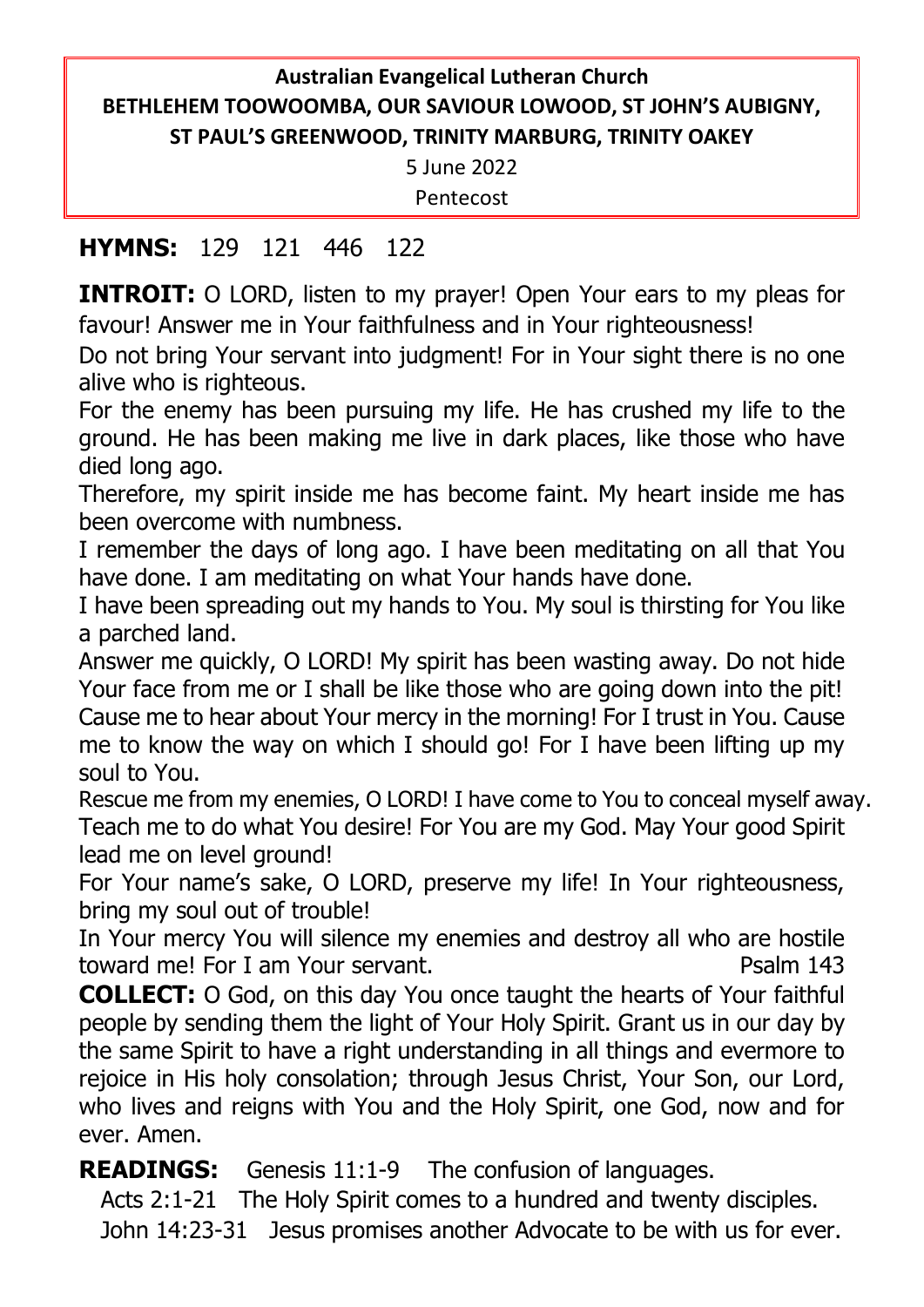# **Australian Evangelical Lutheran Church BETHLEHEM TOOWOOMBA, OUR SAVIOUR LOWOOD, ST JOHN'S AUBIGNY, ST PAUL'S GREENWOOD, TRINITY MARBURG, TRINITY OAKEY**

5 June 2022

Pentecost

## **HYMNS:** 129 121 446 122

**INTROIT:** O LORD, listen to my prayer! Open Your ears to my pleas for favour! Answer me in Your faithfulness and in Your righteousness!

Do not bring Your servant into judgment! For in Your sight there is no one alive who is righteous.

For the enemy has been pursuing my life. He has crushed my life to the ground. He has been making me live in dark places, like those who have died long ago.

Therefore, my spirit inside me has become faint. My heart inside me has been overcome with numbness.

I remember the days of long ago. I have been meditating on all that You have done. I am meditating on what Your hands have done.

I have been spreading out my hands to You. My soul is thirsting for You like a parched land.

Answer me quickly, O LORD! My spirit has been wasting away. Do not hide Your face from me or I shall be like those who are going down into the pit! Cause me to hear about Your mercy in the morning! For I trust in You. Cause me to know the way on which I should go! For I have been lifting up my soul to You.

Rescue me from my enemies, O LORD! I have come to You to conceal myself away. Teach me to do what You desire! For You are my God. May Your good Spirit lead me on level ground!

For Your name's sake, O LORD, preserve my life! In Your righteousness, bring my soul out of trouble!

In Your mercy You will silence my enemies and destroy all who are hostile toward me! For I am Your servant. The example of the Psalm 143

**COLLECT:** O God, on this day You once taught the hearts of Your faithful people by sending them the light of Your Holy Spirit. Grant us in our day by the same Spirit to have a right understanding in all things and evermore to rejoice in His holy consolation; through Jesus Christ, Your Son, our Lord, who lives and reigns with You and the Holy Spirit, one God, now and for ever. Amen.

**READINGS:** Genesis 11:1-9 The confusion of languages.

Acts 2:1-21 The Holy Spirit comes to a hundred and twenty disciples.

John 14:23-31 Jesus promises another Advocate to be with us for ever.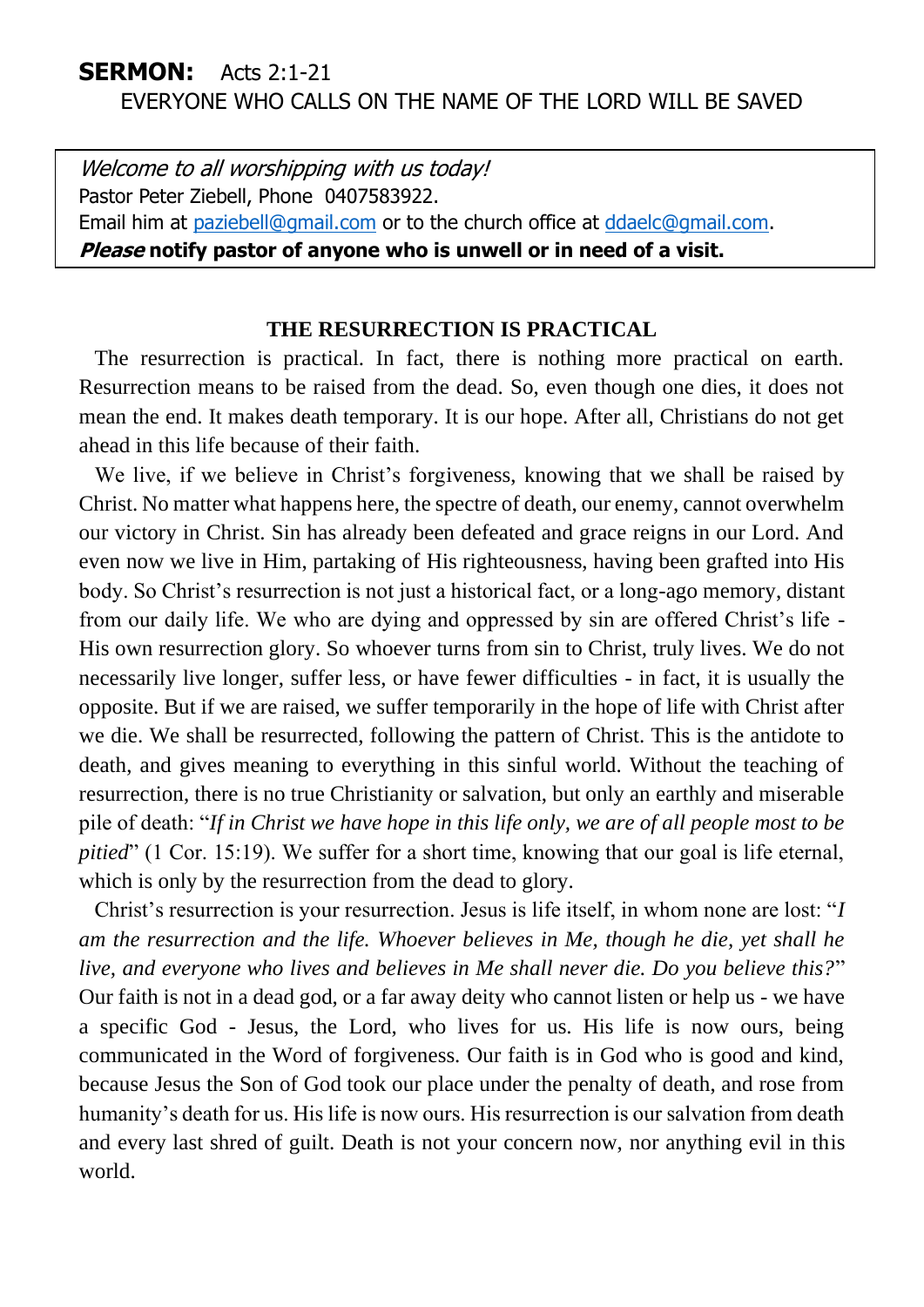### **SERMON:** Acts 2:1-21 EVERYONE WHO CALLS ON THE NAME OF THE LORD WILL BE SAVED

Welcome to all worshipping with us today! Pastor Peter Ziebell, Phone 0407583922. Email him at [paziebell@gmail.com](mailto:paziebell@gmail.com) or to the church office at [ddaelc@gmail.com.](mailto:ddaelc@gmail.com) **Please notify pastor of anyone who is unwell or in need of a visit.** 

#### **THE RESURRECTION IS PRACTICAL**

The resurrection is practical. In fact, there is nothing more practical on earth. Resurrection means to be raised from the dead. So, even though one dies, it does not mean the end. It makes death temporary. It is our hope. After all, Christians do not get ahead in this life because of their faith.

We live, if we believe in Christ's forgiveness, knowing that we shall be raised by Christ. No matter what happens here, the spectre of death, our enemy, cannot overwhelm our victory in Christ. Sin has already been defeated and grace reigns in our Lord. And even now we live in Him, partaking of His righteousness, having been grafted into His body. So Christ's resurrection is not just a historical fact, or a long-ago memory, distant from our daily life. We who are dying and oppressed by sin are offered Christ's life - His own resurrection glory. So whoever turns from sin to Christ, truly lives. We do not necessarily live longer, suffer less, or have fewer difficulties - in fact, it is usually the opposite. But if we are raised, we suffer temporarily in the hope of life with Christ after we die. We shall be resurrected, following the pattern of Christ. This is the antidote to death, and gives meaning to everything in this sinful world. Without the teaching of resurrection, there is no true Christianity or salvation, but only an earthly and miserable pile of death: "*If in Christ we have hope in this life only, we are of all people most to be pitied*" (1 Cor. 15:19). We suffer for a short time, knowing that our goal is life eternal, which is only by the resurrection from the dead to glory.

Christ's resurrection is your resurrection. Jesus is life itself, in whom none are lost: "*I am the resurrection and the life. Whoever believes in Me, though he die, yet shall he live, and everyone who lives and believes in Me shall never die. Do you believe this?*" Our faith is not in a dead god, or a far away deity who cannot listen or help us - we have a specific God - Jesus, the Lord, who lives for us. His life is now ours, being communicated in the Word of forgiveness. Our faith is in God who is good and kind, because Jesus the Son of God took our place under the penalty of death, and rose from humanity's death for us. His life is now ours. His resurrection is our salvation from death and every last shred of guilt. Death is not your concern now, nor anything evil in this world.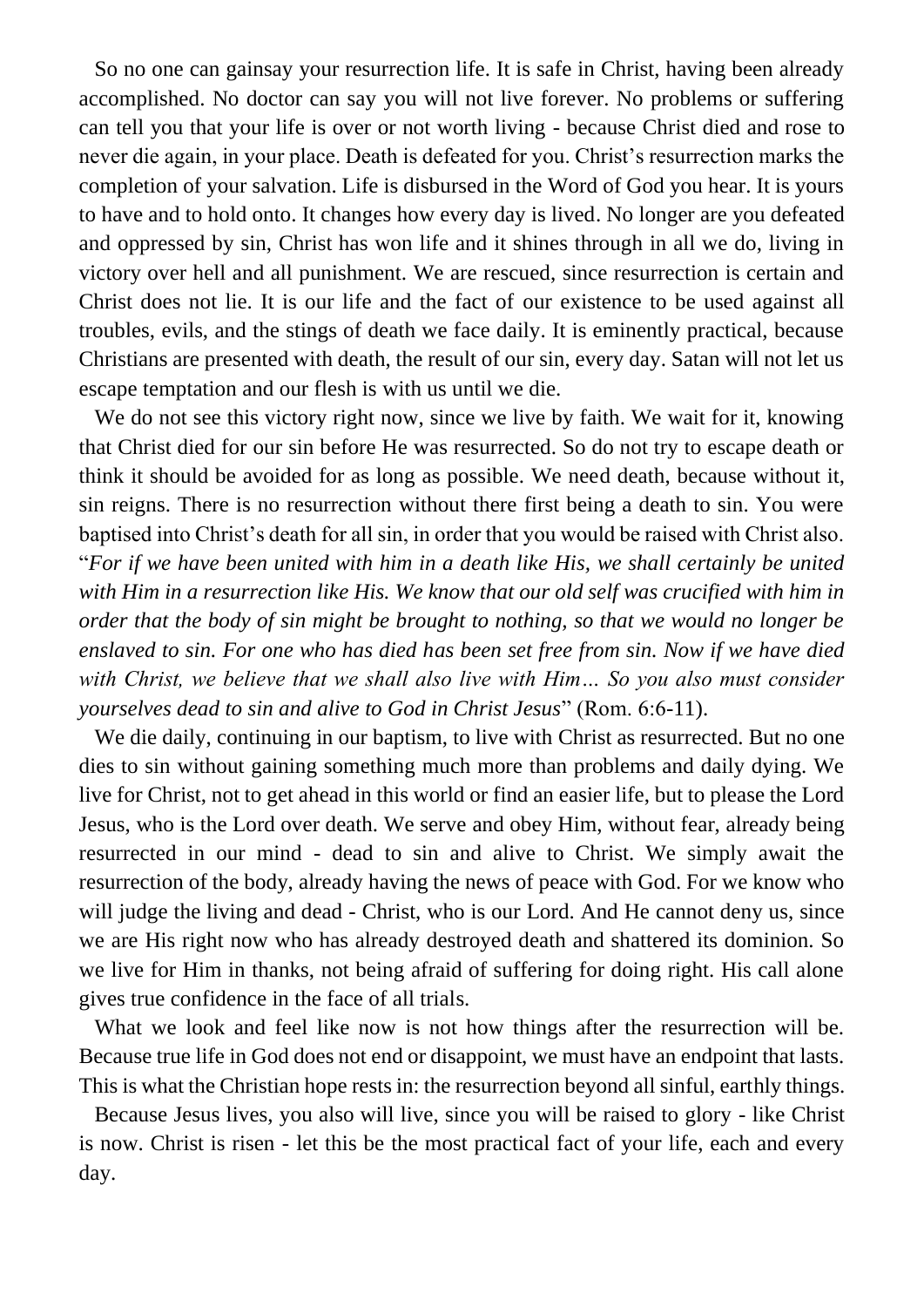So no one can gainsay your resurrection life. It is safe in Christ, having been already accomplished. No doctor can say you will not live forever. No problems or suffering can tell you that your life is over or not worth living - because Christ died and rose to never die again, in your place. Death is defeated for you. Christ's resurrection marks the completion of your salvation. Life is disbursed in the Word of God you hear. It is yours to have and to hold onto. It changes how every day is lived. No longer are you defeated and oppressed by sin, Christ has won life and it shines through in all we do, living in victory over hell and all punishment. We are rescued, since resurrection is certain and Christ does not lie. It is our life and the fact of our existence to be used against all troubles, evils, and the stings of death we face daily. It is eminently practical, because Christians are presented with death, the result of our sin, every day. Satan will not let us escape temptation and our flesh is with us until we die.

We do not see this victory right now, since we live by faith. We wait for it, knowing that Christ died for our sin before He was resurrected. So do not try to escape death or think it should be avoided for as long as possible. We need death, because without it, sin reigns. There is no resurrection without there first being a death to sin. You were baptised into Christ's death for all sin, in order that you would be raised with Christ also. "*For if we have been united with him in a death like His, we shall certainly be united with Him in a resurrection like His. We know that our old self was crucified with him in order that the body of sin might be brought to nothing, so that we would no longer be enslaved to sin. For one who has died has been set free from sin. Now if we have died with Christ, we believe that we shall also live with Him… So you also must consider yourselves dead to sin and alive to God in Christ Jesus*" (Rom. 6:6-11).

We die daily, continuing in our baptism, to live with Christ as resurrected. But no one dies to sin without gaining something much more than problems and daily dying. We live for Christ, not to get ahead in this world or find an easier life, but to please the Lord Jesus, who is the Lord over death. We serve and obey Him, without fear, already being resurrected in our mind - dead to sin and alive to Christ. We simply await the resurrection of the body, already having the news of peace with God. For we know who will judge the living and dead - Christ, who is our Lord. And He cannot deny us, since we are His right now who has already destroyed death and shattered its dominion. So we live for Him in thanks, not being afraid of suffering for doing right. His call alone gives true confidence in the face of all trials.

What we look and feel like now is not how things after the resurrection will be. Because true life in God does not end or disappoint, we must have an endpoint that lasts. This is what the Christian hope rests in: the resurrection beyond all sinful, earthly things.

Because Jesus lives, you also will live, since you will be raised to glory - like Christ is now. Christ is risen - let this be the most practical fact of your life, each and every day.